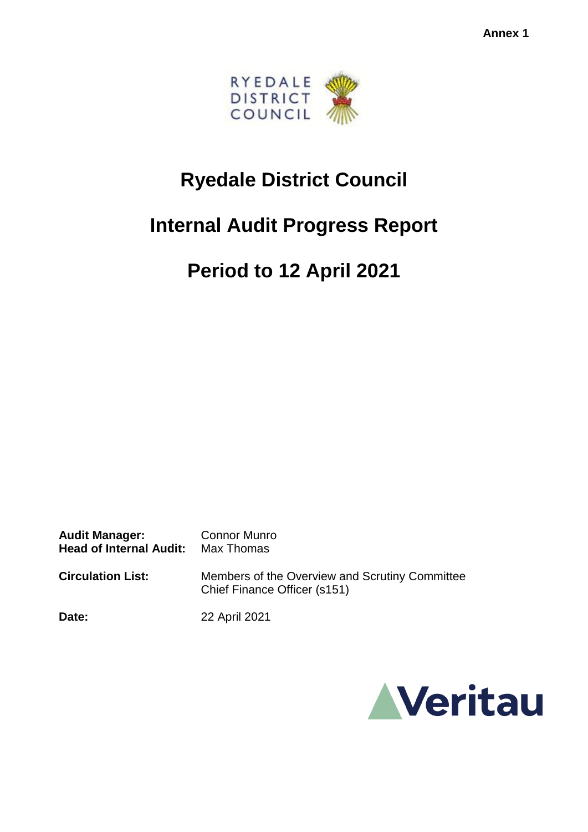

## **Ryedale District Council**

## **Internal Audit Progress Report**

# **Period to 12 April 2021**

Audit Manager: Connor Munro **Head of Internal Audit:** Max Thomas **Circulation List:** Members of the Overview and Scrutiny Committee Chief Finance Officer (s151)

**Date:** 22 April 2021

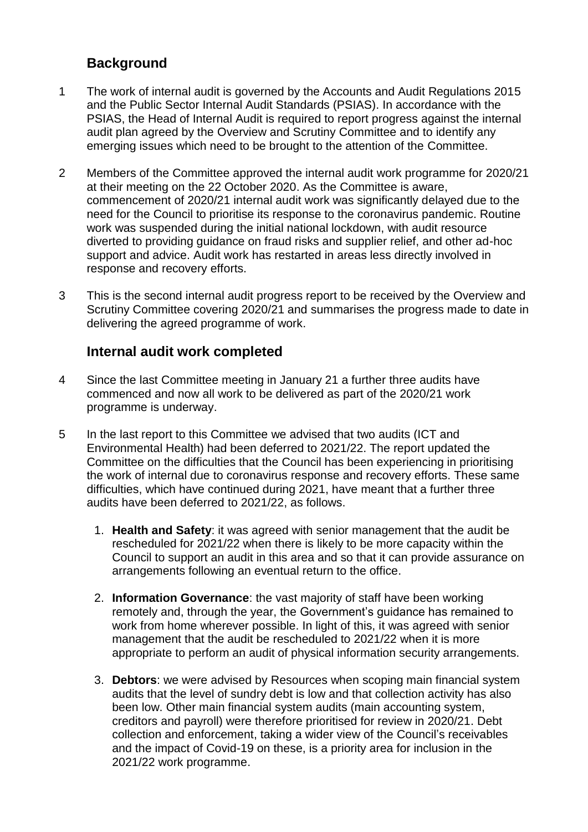### **Background**

- 1 The work of internal audit is governed by the Accounts and Audit Regulations 2015 and the Public Sector Internal Audit Standards (PSIAS). In accordance with the PSIAS, the Head of Internal Audit is required to report progress against the internal audit plan agreed by the Overview and Scrutiny Committee and to identify any emerging issues which need to be brought to the attention of the Committee.
- 2 Members of the Committee approved the internal audit work programme for 2020/21 at their meeting on the 22 October 2020. As the Committee is aware, commencement of 2020/21 internal audit work was significantly delayed due to the need for the Council to prioritise its response to the coronavirus pandemic. Routine work was suspended during the initial national lockdown, with audit resource diverted to providing guidance on fraud risks and supplier relief, and other ad-hoc support and advice. Audit work has restarted in areas less directly involved in response and recovery efforts.
- 3 This is the second internal audit progress report to be received by the Overview and Scrutiny Committee covering 2020/21 and summarises the progress made to date in delivering the agreed programme of work.

### **Internal audit work completed**

- 4 Since the last Committee meeting in January 21 a further three audits have commenced and now all work to be delivered as part of the 2020/21 work programme is underway.
- 5 In the last report to this Committee we advised that two audits (ICT and Environmental Health) had been deferred to 2021/22. The report updated the Committee on the difficulties that the Council has been experiencing in prioritising the work of internal due to coronavirus response and recovery efforts. These same difficulties, which have continued during 2021, have meant that a further three audits have been deferred to 2021/22, as follows.
	- 1. **Health and Safety**: it was agreed with senior management that the audit be rescheduled for 2021/22 when there is likely to be more capacity within the Council to support an audit in this area and so that it can provide assurance on arrangements following an eventual return to the office.
	- 2. **Information Governance**: the vast majority of staff have been working remotely and, through the year, the Government's guidance has remained to work from home wherever possible. In light of this, it was agreed with senior management that the audit be rescheduled to 2021/22 when it is more appropriate to perform an audit of physical information security arrangements.
	- 3. **Debtors**: we were advised by Resources when scoping main financial system audits that the level of sundry debt is low and that collection activity has also been low. Other main financial system audits (main accounting system, creditors and payroll) were therefore prioritised for review in 2020/21. Debt collection and enforcement, taking a wider view of the Council's receivables and the impact of Covid-19 on these, is a priority area for inclusion in the 2021/22 work programme.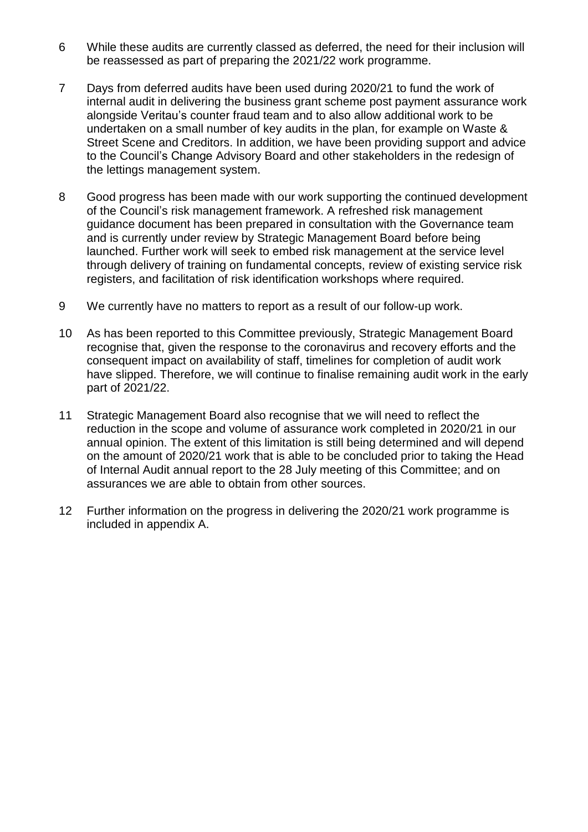- 6 While these audits are currently classed as deferred, the need for their inclusion will be reassessed as part of preparing the 2021/22 work programme.
- 7 Days from deferred audits have been used during 2020/21 to fund the work of internal audit in delivering the business grant scheme post payment assurance work alongside Veritau's counter fraud team and to also allow additional work to be undertaken on a small number of key audits in the plan, for example on Waste & Street Scene and Creditors. In addition, we have been providing support and advice to the Council's Change Advisory Board and other stakeholders in the redesign of the lettings management system.
- 8 Good progress has been made with our work supporting the continued development of the Council's risk management framework. A refreshed risk management guidance document has been prepared in consultation with the Governance team and is currently under review by Strategic Management Board before being launched. Further work will seek to embed risk management at the service level through delivery of training on fundamental concepts, review of existing service risk registers, and facilitation of risk identification workshops where required.
- 9 We currently have no matters to report as a result of our follow-up work.
- 10 As has been reported to this Committee previously, Strategic Management Board recognise that, given the response to the coronavirus and recovery efforts and the consequent impact on availability of staff, timelines for completion of audit work have slipped. Therefore, we will continue to finalise remaining audit work in the early part of 2021/22.
- 11 Strategic Management Board also recognise that we will need to reflect the reduction in the scope and volume of assurance work completed in 2020/21 in our annual opinion. The extent of this limitation is still being determined and will depend on the amount of 2020/21 work that is able to be concluded prior to taking the Head of Internal Audit annual report to the 28 July meeting of this Committee; and on assurances we are able to obtain from other sources.
- 12 Further information on the progress in delivering the 2020/21 work programme is included in appendix A.